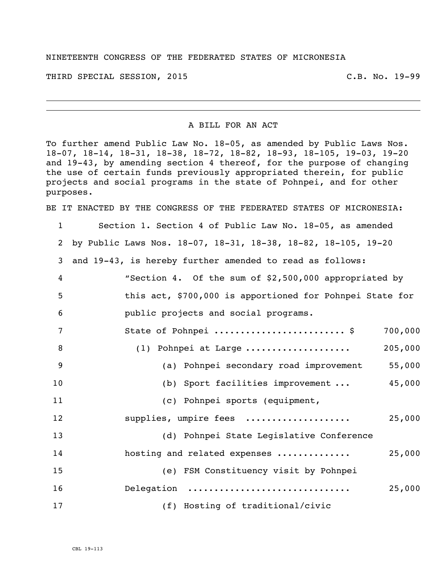## NINETEENTH CONGRESS OF THE FEDERATED STATES OF MICRONESIA

THIRD SPECIAL SESSION, 2015 C.B. No. 19-99

## A BILL FOR AN ACT

To further amend Public Law No. 18-05, as amended by Public Laws Nos. 18-07, 18-14, 18-31, 18-38, 18-72, 18-82, 18-93, 18-105, 19-03, 19-20 and 19-43, by amending section 4 thereof, for the purpose of changing the use of certain funds previously appropriated therein, for public projects and social programs in the state of Pohnpei, and for other purposes.

BE IT ENACTED BY THE CONGRESS OF THE FEDERATED STATES OF MICRONESIA:

 Section 1. Section 4 of Public Law No. 18-05, as amended by Public Laws Nos. 18-07, 18-31, 18-38, 18-82, 18-105, 19-20 and 19-43, is hereby further amended to read as follows: "Section 4. Of the sum of \$2,500,000 appropriated by this act, \$700,000 is apportioned for Pohnpei State for public projects and social programs. State of Pohnpei ......................... \$ 700,000 (1) Pohnpei at Large .................... 205,000 (a) Pohnpei secondary road improvement 55,000 (b) Sport facilities improvement ... 45,000 (c) Pohnpei sports (equipment, supplies, umpire fees .................... 25,000 (d) Pohnpei State Legislative Conference hosting and related expenses .............. 25,000 (e) FSM Constituency visit by Pohnpei Delegation ............................... 25,000 (f) Hosting of traditional/civic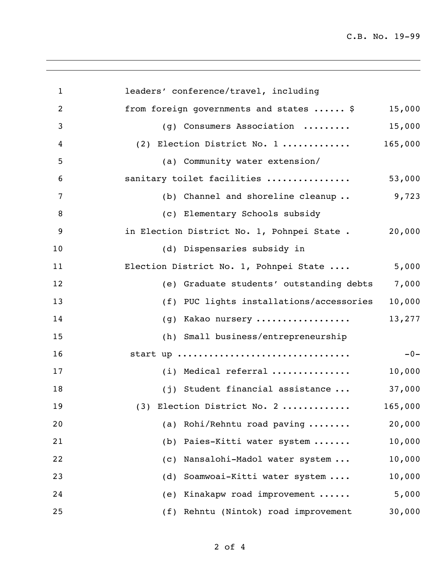C.B. No. 19-99

| $\mathbf{1}$   | leaders' conference/travel, including       |         |
|----------------|---------------------------------------------|---------|
| 2              | from foreign governments and states  \$     | 15,000  |
| 3              | (g) Consumers Association                   | 15,000  |
| 4              | (2) Election District No. 1                 | 165,000 |
| 5              | (a) Community water extension/              |         |
| 6              | sanitary toilet facilities                  | 53,000  |
| $\overline{7}$ | (b) Channel and shoreline cleanup           | 9,723   |
| 8              | (c) Elementary Schools subsidy              |         |
| 9              | in Election District No. 1, Pohnpei State . | 20,000  |
| 10             | (d) Dispensaries subsidy in                 |         |
| 11             | Election District No. 1, Pohnpei State      | 5,000   |
| 12             | (e) Graduate students' outstanding debts    | 7,000   |
| 13             | (f) PUC lights installations/accessories    | 10,000  |
| 14             | (g) Kakao nursery                           | 13,277  |
| 15             | (h) Small business/entrepreneurship         |         |
| 16             | start up                                    | $-0-$   |
| 17             | (i) Medical referral                        | 10,000  |
| 18             | (j) Student financial assistance            | 37,000  |
| 19             | (3) Election District No. 2                 | 165,000 |
| 20             | (a) Rohi/Rehntu road paving                 | 20,000  |
| 21             | Paies-Kitti water system<br>(b)             | 10,000  |
| 22             | Nansalohi-Madol water system<br>(C)         | 10,000  |
| 23             | Soamwoai-Kitti water system<br>(d)          | 10,000  |
| 24             | Kinakapw road improvement<br>(e)            | 5,000   |
| 25             | (f) Rehntu (Nintok) road improvement        | 30,000  |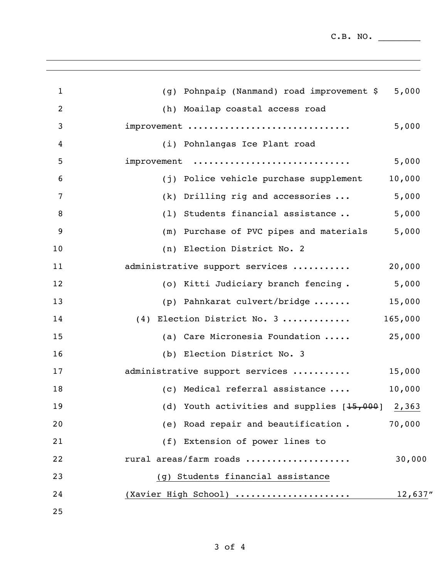$C.B. NO.$ 

| $\mathbf{1}$ | (g) Pohnpaip (Nanmand) road improvement \$         | 5,000    |
|--------------|----------------------------------------------------|----------|
| 2            | (h) Moailap coastal access road                    |          |
| 3            | improvement                                        | 5,000    |
| 4            | (i) Pohnlangas Ice Plant road                      |          |
| 5            | improvement                                        | 5,000    |
| 6            | (j) Police vehicle purchase supplement             | 10,000   |
| 7            | $(k)$ Drilling rig and accessories $\ldots$        | 5,000    |
| 8            | (1) Students financial assistance                  | 5,000    |
| 9            | (m) Purchase of PVC pipes and materials            | 5,000    |
| 10           | (n) Election District No. 2                        |          |
| 11           | administrative support services                    | 20,000   |
| 12           | (o) Kitti Judiciary branch fencing.                | 5,000    |
| 13           | (p) Pahnkarat culvert/bridge                       | 15,000   |
| 14           | (4) Election District No. 3                        | 165,000  |
| 15           | (a) Care Micronesia Foundation                     | 25,000   |
| 16           | (b) Election District No. 3                        |          |
| 17           | administrative support services                    | 15,000   |
| 18           | (c) Medical referral assistance                    | 10,000   |
| 19           | (d) Youth activities and supplies $[15,000]$ 2,363 |          |
| 20           | (e) Road repair and beautification.                | 70,000   |
| 21           | (f) Extension of power lines to                    |          |
| 22           | rural areas/farm roads                             | 30,000   |
| 23           | (g) Students financial assistance                  |          |
| 24           | (Xavier High School)                               | 12,637'' |
| 25           |                                                    |          |